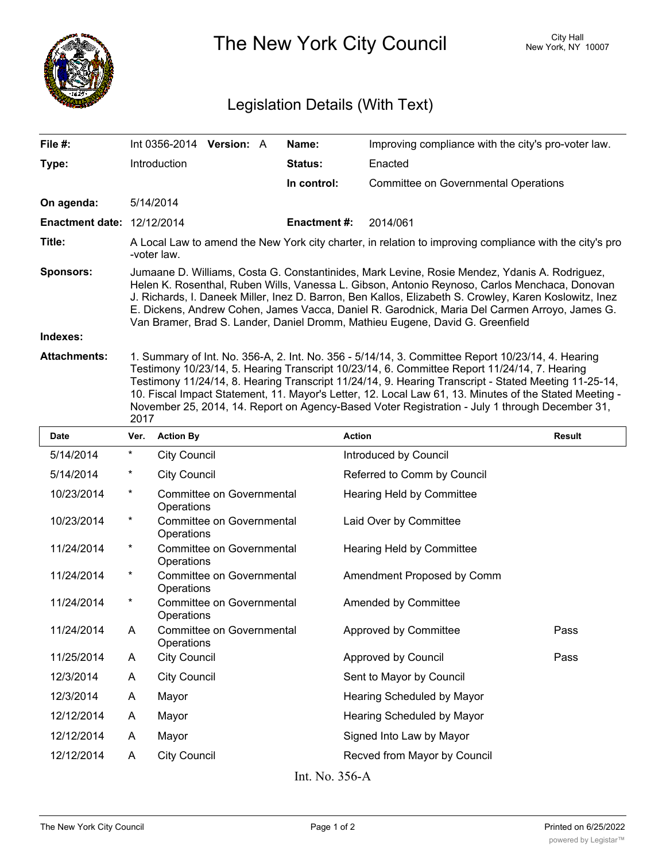

The New York City Council New York, NY 10007

## Legislation Details (With Text)

| File #:                           | Int 0356-2014                                                                                                                                                                                                                                                                                                                                                                                                                                                                              | <b>Version: A</b> |  | Name:               | Improving compliance with the city's pro-voter law.                                                                                                                                                                                                                                                                                                                                                                 |  |  |
|-----------------------------------|--------------------------------------------------------------------------------------------------------------------------------------------------------------------------------------------------------------------------------------------------------------------------------------------------------------------------------------------------------------------------------------------------------------------------------------------------------------------------------------------|-------------------|--|---------------------|---------------------------------------------------------------------------------------------------------------------------------------------------------------------------------------------------------------------------------------------------------------------------------------------------------------------------------------------------------------------------------------------------------------------|--|--|
| Type:                             | <b>Introduction</b>                                                                                                                                                                                                                                                                                                                                                                                                                                                                        |                   |  | Status:             | Enacted                                                                                                                                                                                                                                                                                                                                                                                                             |  |  |
|                                   |                                                                                                                                                                                                                                                                                                                                                                                                                                                                                            |                   |  | In control:         | Committee on Governmental Operations                                                                                                                                                                                                                                                                                                                                                                                |  |  |
| On agenda:                        | 5/14/2014                                                                                                                                                                                                                                                                                                                                                                                                                                                                                  |                   |  |                     |                                                                                                                                                                                                                                                                                                                                                                                                                     |  |  |
| <b>Enactment date: 12/12/2014</b> |                                                                                                                                                                                                                                                                                                                                                                                                                                                                                            |                   |  | <b>Enactment #:</b> | 2014/061                                                                                                                                                                                                                                                                                                                                                                                                            |  |  |
| Title:                            | A Local Law to amend the New York city charter, in relation to improving compliance with the city's pro<br>-voter law.                                                                                                                                                                                                                                                                                                                                                                     |                   |  |                     |                                                                                                                                                                                                                                                                                                                                                                                                                     |  |  |
| <b>Sponsors:</b>                  | Jumaane D. Williams, Costa G. Constantinides, Mark Levine, Rosie Mendez, Ydanis A. Rodriguez,<br>Helen K. Rosenthal, Ruben Wills, Vanessa L. Gibson, Antonio Reynoso, Carlos Menchaca, Donovan<br>J. Richards, I. Daneek Miller, Inez D. Barron, Ben Kallos, Elizabeth S. Crowley, Karen Koslowitz, Inez<br>E. Dickens, Andrew Cohen, James Vacca, Daniel R. Garodnick, Maria Del Carmen Arroyo, James G.<br>Van Bramer, Brad S. Lander, Daniel Dromm, Mathieu Eugene, David G. Greenfield |                   |  |                     |                                                                                                                                                                                                                                                                                                                                                                                                                     |  |  |
| Indexes:                          |                                                                                                                                                                                                                                                                                                                                                                                                                                                                                            |                   |  |                     |                                                                                                                                                                                                                                                                                                                                                                                                                     |  |  |
| <b>Attachments:</b>               |                                                                                                                                                                                                                                                                                                                                                                                                                                                                                            |                   |  |                     | 1. Summary of Int. No. 356-A, 2. Int. No. 356 - 5/14/14, 3. Committee Report 10/23/14, 4. Hearing<br>Testimony 10/23/14, 5. Hearing Transcript 10/23/14, 6. Committee Report 11/24/14, 7. Hearing<br>Testimony 11/24/14, 8. Hearing Transcript 11/24/14, 9. Hearing Transcript - Stated Meeting 11-25-14,<br>10. Fiscal Impact Statement, 11. Mayor's Letter, 12. Local Law 61, 13. Minutes of the Stated Meeting - |  |  |

November 25, 2014, 14. Report on Agency-Based Voter Registration - July 1 through December 31,

|                |          | 2017                                           |                              |               |  |  |  |  |  |
|----------------|----------|------------------------------------------------|------------------------------|---------------|--|--|--|--|--|
| <b>Date</b>    | Ver.     | <b>Action By</b>                               | <b>Action</b>                | <b>Result</b> |  |  |  |  |  |
| 5/14/2014      | $^\star$ | <b>City Council</b>                            | Introduced by Council        |               |  |  |  |  |  |
| 5/14/2014      | $^\star$ | <b>City Council</b>                            | Referred to Comm by Council  |               |  |  |  |  |  |
| 10/23/2014     | $^\star$ | Committee on Governmental<br>Operations        | Hearing Held by Committee    |               |  |  |  |  |  |
| 10/23/2014     | $^\star$ | Committee on Governmental<br>Operations        | Laid Over by Committee       |               |  |  |  |  |  |
| 11/24/2014     | $^\star$ | Committee on Governmental<br>Operations        | Hearing Held by Committee    |               |  |  |  |  |  |
| 11/24/2014     | $^\star$ | Committee on Governmental<br>Operations        | Amendment Proposed by Comm   |               |  |  |  |  |  |
| 11/24/2014     | $^\star$ | <b>Committee on Governmental</b><br>Operations | Amended by Committee         |               |  |  |  |  |  |
| 11/24/2014     | A        | Committee on Governmental<br>Operations        | Approved by Committee        | Pass          |  |  |  |  |  |
| 11/25/2014     | A        | City Council                                   | Approved by Council          | Pass          |  |  |  |  |  |
| 12/3/2014      | A        | <b>City Council</b>                            | Sent to Mayor by Council     |               |  |  |  |  |  |
| 12/3/2014      | A        | Mayor                                          | Hearing Scheduled by Mayor   |               |  |  |  |  |  |
| 12/12/2014     | A        | Mayor                                          | Hearing Scheduled by Mayor   |               |  |  |  |  |  |
| 12/12/2014     | A        | Mayor                                          | Signed Into Law by Mayor     |               |  |  |  |  |  |
| 12/12/2014     | A        | <b>City Council</b>                            | Recved from Mayor by Council |               |  |  |  |  |  |
| Int. No. 356-A |          |                                                |                              |               |  |  |  |  |  |